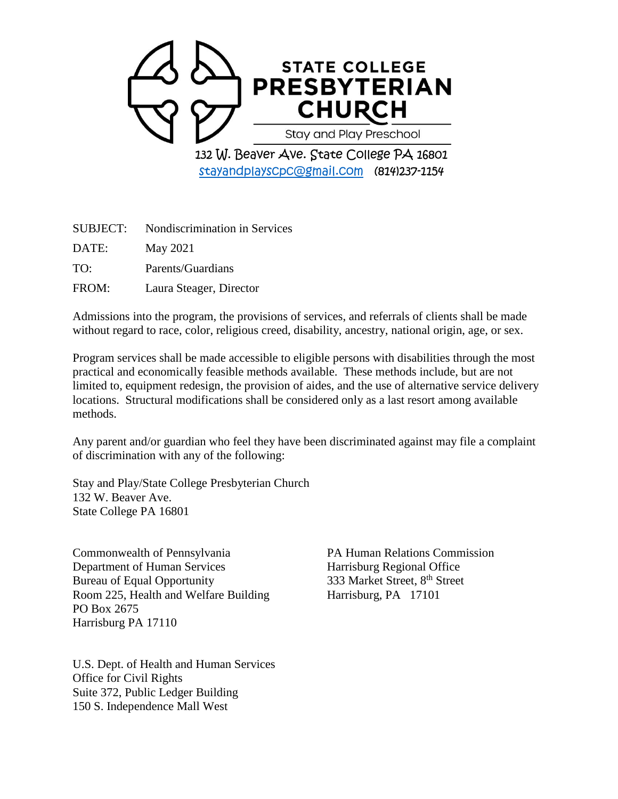

[stayandplayscpc@gmail.com](mailto:stayandplayscpc@gmail.com) (814)237-1154

| SUBJECT: | Nondiscrimination in Services |
|----------|-------------------------------|
| DATE:    | May 2021                      |
| TO:      | Parents/Guardians             |
| FROM:    | Laura Steager, Director       |

Admissions into the program, the provisions of services, and referrals of clients shall be made without regard to race, color, religious creed, disability, ancestry, national origin, age, or sex.

Program services shall be made accessible to eligible persons with disabilities through the most practical and economically feasible methods available. These methods include, but are not limited to, equipment redesign, the provision of aides, and the use of alternative service delivery locations. Structural modifications shall be considered only as a last resort among available methods.

Any parent and/or guardian who feel they have been discriminated against may file a complaint of discrimination with any of the following:

Stay and Play/State College Presbyterian Church 132 W. Beaver Ave. State College PA 16801

Commonwealth of Pennsylvania PA Human Relations Commission Department of Human Services Harrisburg Regional Office Bureau of Equal Opportunity 333 Market Street, 8<sup>th</sup> Street Room 225, Health and Welfare Building Harrisburg, PA 17101 PO Box 2675 Harrisburg PA 17110

U.S. Dept. of Health and Human Services Office for Civil Rights Suite 372, Public Ledger Building 150 S. Independence Mall West